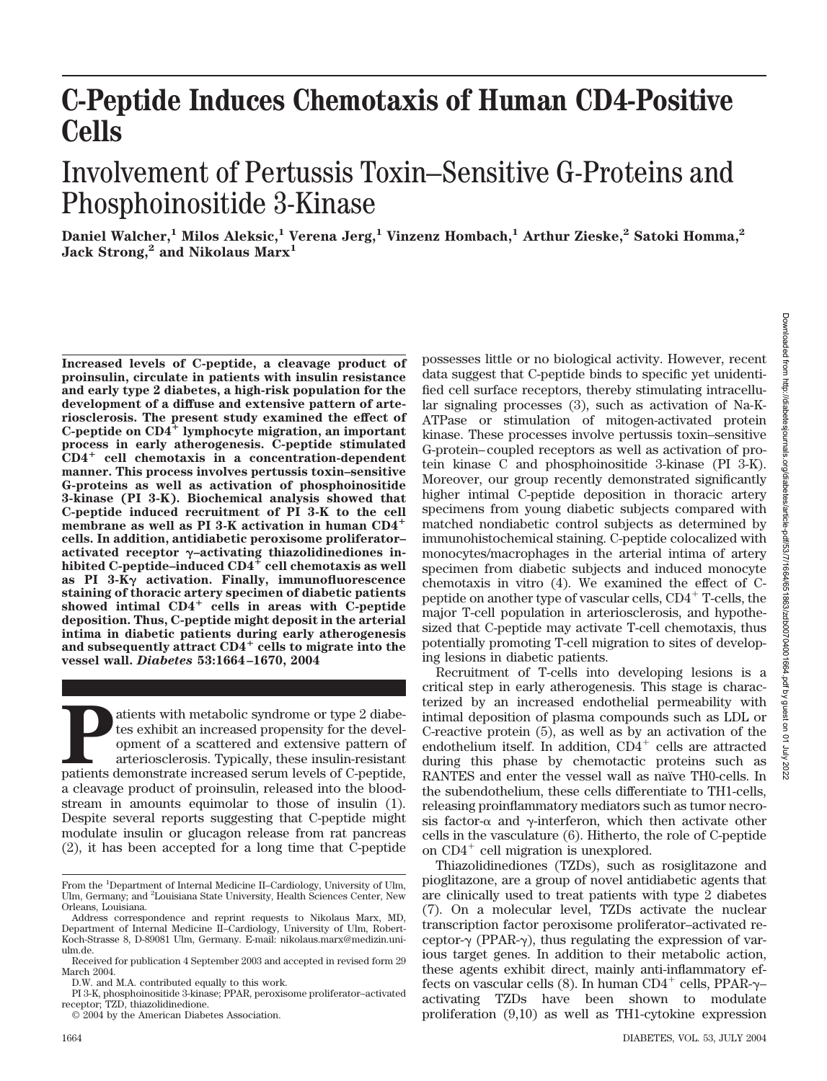# **C-Peptide Induces Chemotaxis of Human CD4-Positive Cells**

## Involvement of Pertussis Toxin–Sensitive G-Proteins and Phosphoinositide 3-Kinase

**Daniel Walcher,1 Milos Aleksic,1 Verena Jerg,1 Vinzenz Hombach,1 Arthur Zieske,2 Satoki Homma,2 Jack Strong,2 and Nikolaus Marx1**

**Increased levels of C-peptide, a cleavage product of proinsulin, circulate in patients with insulin resistance and early type 2 diabetes, a high-risk population for the development of a diffuse and extensive pattern of arteriosclerosis. The present study examined the effect of C-peptide on CD4 lymphocyte migration, an important process in early atherogenesis. C-peptide stimulated CD4 cell chemotaxis in a concentration-dependent manner. This process involves pertussis toxin–sensitive G-proteins as well as activation of phosphoinositide 3-kinase (PI 3-K). Biochemical analysis showed that C-peptide induced recruitment of PI 3-K to the cell membrane as well as PI 3-K activation in human CD4 cells. In addition, antidiabetic peroxisome proliferator–** activated receptor  $\gamma$ -activating thiazolidinediones inhibited C-peptide–induced  $CD4^+$  cell chemotaxis as well **as PI 3-K**- **activation. Finally, immunofluorescence staining of thoracic artery specimen of diabetic patients** showed intimal CD4<sup>+</sup> cells in areas with C-peptide **deposition. Thus, C-peptide might deposit in the arterial intima in diabetic patients during early atherogenesis and subsequently attract CD4 cells to migrate into the vessel wall.** *Diabetes* **53:1664–1670, 2004**

Patients with metabolic syndrome or type 2 diabe-<br>tes exhibit an increased propensity for the devel-<br>opment of a scattered and extensive pattern of<br>arteriosclerosis. Typically, these insulin-resistant<br>patients demonstrate tes exhibit an increased propensity for the development of a scattered and extensive pattern of arteriosclerosis. Typically, these insulin-resistant a cleavage product of proinsulin, released into the bloodstream in amounts equimolar to those of insulin (1). Despite several reports suggesting that C-peptide might modulate insulin or glucagon release from rat pancreas (2), it has been accepted for a long time that C-peptide possesses little or no biological activity. However, recent data suggest that C-peptide binds to specific yet unidentified cell surface receptors, thereby stimulating intracellular signaling processes (3), such as activation of Na-K-ATPase or stimulation of mitogen-activated protein kinase. These processes involve pertussis toxin–sensitive G-protein–coupled receptors as well as activation of protein kinase C and phosphoinositide 3-kinase (PI 3-K). Moreover, our group recently demonstrated significantly higher intimal C-peptide deposition in thoracic artery specimens from young diabetic subjects compared with matched nondiabetic control subjects as determined by immunohistochemical staining. C-peptide colocalized with monocytes/macrophages in the arterial intima of artery specimen from diabetic subjects and induced monocyte chemotaxis in vitro (4). We examined the effect of Cpeptide on another type of vascular cells, CD4 T-cells, the major T-cell population in arteriosclerosis, and hypothesized that C-peptide may activate T-cell chemotaxis, thus potentially promoting T-cell migration to sites of developing lesions in diabetic patients.

Recruitment of T-cells into developing lesions is a critical step in early atherogenesis. This stage is characterized by an increased endothelial permeability with intimal deposition of plasma compounds such as LDL or C-reactive protein (5), as well as by an activation of the endothelium itself. In addition,  $CD4^+$  cells are attracted during this phase by chemotactic proteins such as RANTES and enter the vessel wall as naïve TH0-cells. In the subendothelium, these cells differentiate to TH1-cells, releasing proinflammatory mediators such as tumor necrosis factor- $\alpha$  and  $\gamma$ -interferon, which then activate other cells in the vasculature (6). Hitherto, the role of C-peptide on  $CD4^+$  cell migration is unexplored.

Thiazolidinediones (TZDs), such as rosiglitazone and pioglitazone, are a group of novel antidiabetic agents that are clinically used to treat patients with type 2 diabetes (7). On a molecular level, TZDs activate the nuclear transcription factor peroxisome proliferator–activated receptor- $\gamma$  (PPAR- $\gamma$ ), thus regulating the expression of various target genes. In addition to their metabolic action, these agents exhibit direct, mainly anti-inflammatory effects on vascular cells (8). In human CD4<sup>+</sup> cells, PPAR- $\gamma$ – activating TZDs have been shown to modulate proliferation (9,10) as well as TH1-cytokine expression

From the <sup>1</sup>Department of Internal Medicine II-Cardiology, University of Ulm, Ulm, Germany; and <sup>2</sup>Louisiana State University, Health Sciences Center, New Orleans, Louisiana.

Address correspondence and reprint requests to Nikolaus Marx, MD, Department of Internal Medicine II–Cardiology, University of Ulm, Robert-Koch-Strasse 8, D-89081 Ulm, Germany. E-mail: nikolaus.marx@medizin.uniulm.de.

Received for publication 4 September 2003 and accepted in revised form 29 March 2004.

D.W. and M.A. contributed equally to this work.

PI 3-K, phosphoinositide 3-kinase; PPAR, peroxisome proliferator–activated receptor; TZD, thiazolidinedione.

<sup>© 2004</sup> by the American Diabetes Association.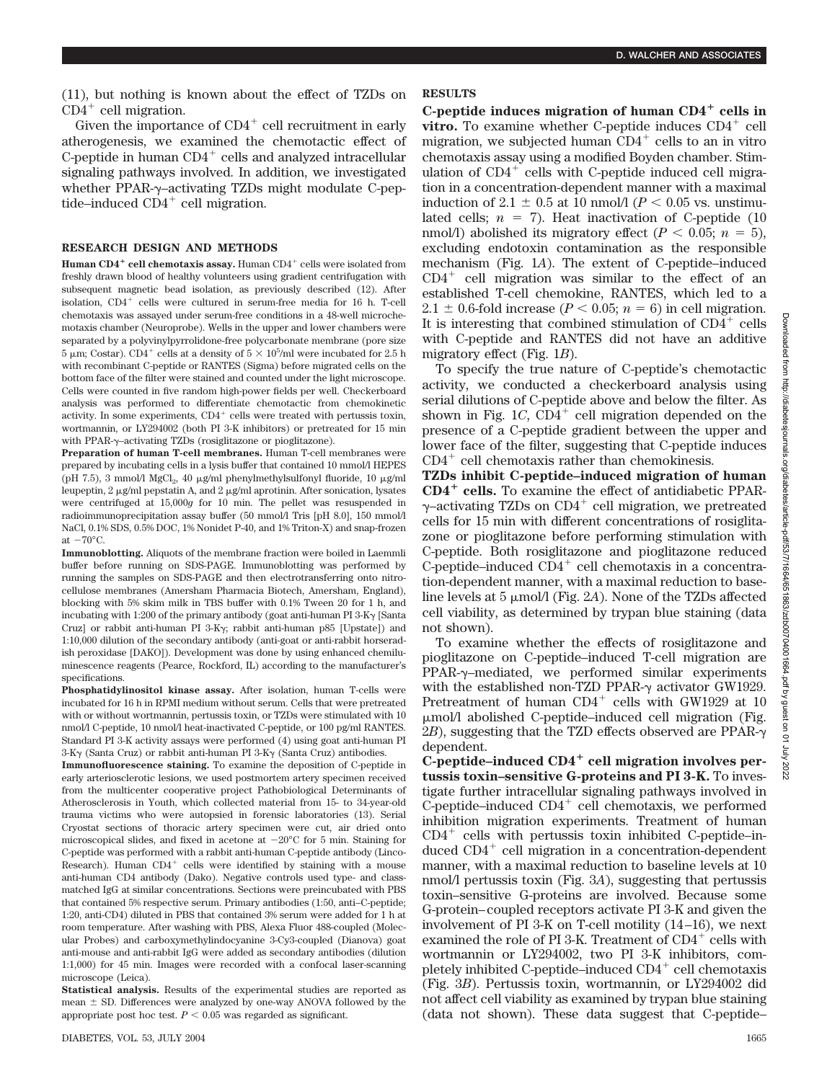(11), but nothing is known about the effect of TZDs on  $CD4^+$  cell migration.

Given the importance of  $CD4^+$  cell recruitment in early atherogenesis, we examined the chemotactic effect of C-peptide in human  $CD4^+$  cells and analyzed intracellular signaling pathways involved. In addition, we investigated whether PPAR- $\gamma$ -activating TZDs might modulate C-peptide–induced  $CD4^+$  cell migration.

#### **RESEARCH DESIGN AND METHODS**

**Human CD4<sup>+</sup> cell chemotaxis assay.** Human CD4<sup>+</sup> cells were isolated from freshly drawn blood of healthy volunteers using gradient centrifugation with subsequent magnetic bead isolation, as previously described (12). After isolation,  $CD4^+$  cells were cultured in serum-free media for 16 h. T-cell chemotaxis was assayed under serum-free conditions in a 48-well microchemotaxis chamber (Neuroprobe). Wells in the upper and lower chambers were separated by a polyvinylpyrrolidone-free polycarbonate membrane (pore size  $5 \mu$ m; Costar). CD4<sup>+</sup> cells at a density of  $5 \times 10^5$ /ml were incubated for 2.5 h with recombinant C-peptide or RANTES (Sigma) before migrated cells on the bottom face of the filter were stained and counted under the light microscope. Cells were counted in five random high-power fields per well. Checkerboard analysis was performed to differentiate chemotactic from chemokinetic activity. In some experiments,  $CD4^+$  cells were treated with pertussis toxin, wortmannin, or LY294002 (both PI 3-K inhibitors) or pretreated for 15 min with PPAR-γ-activating TZDs (rosiglitazone or pioglitazone).

**Preparation of human T-cell membranes.** Human T-cell membranes were prepared by incubating cells in a lysis buffer that contained 10 mmol/l HEPES (pH 7.5), 3 mmol/l MgCl<sub>2</sub>, 40  $\mu$ g/ml phenylmethylsulfonyl fluoride, 10  $\mu$ g/ml leupeptin,  $2 \mu g/ml$  pepstatin A, and  $2 \mu g/ml$  aprotinin. After sonication, lysates were centrifuged at 15,000*g* for 10 min. The pellet was resuspended in radioimmunoprecipitation assay buffer (50 mmol/l Tris [pH 8.0], 150 mmol/l NaCl, 0.1% SDS, 0.5% DOC, 1% Nonidet P-40, and 1% Triton-X) and snap-frozen at  $-70^{\circ}$ C.

**Immunoblotting.** Aliquots of the membrane fraction were boiled in Laemmli buffer before running on SDS-PAGE. Immunoblotting was performed by running the samples on SDS-PAGE and then electrotransferring onto nitrocellulose membranes (Amersham Pharmacia Biotech, Amersham, England), blocking with 5% skim milk in TBS buffer with 0.1% Tween 20 for 1 h, and incubating with 1:200 of the primary antibody (goat anti-human PI  $3-K\gamma$  [Santa Cruz] or rabbit anti-human PI 3-Ky; rabbit anti-human p85 [Upstate]) and 1:10,000 dilution of the secondary antibody (anti-goat or anti-rabbit horseradish peroxidase [DAKO]). Development was done by using enhanced chemiluminescence reagents (Pearce, Rockford, IL) according to the manufacturer's specifications.

**Phosphatidylinositol kinase assay.** After isolation, human T-cells were incubated for 16 h in RPMI medium without serum. Cells that were pretreated with or without wortmannin, pertussis toxin, or TZDs were stimulated with 10 nmol/l C-peptide, 10 nmol/l heat-inactivated C-peptide, or 100 pg/ml RANTES. Standard PI 3-K activity assays were performed (4) using goat anti-human PI  $3-K\gamma$  (Santa Cruz) or rabbit anti-human PI  $3-K\gamma$  (Santa Cruz) antibodies.

**Immunofluorescence staining.** To examine the deposition of C-peptide in early arteriosclerotic lesions, we used postmortem artery specimen received from the multicenter cooperative project Pathobiological Determinants of Atherosclerosis in Youth, which collected material from 15- to 34-year-old trauma victims who were autopsied in forensic laboratories (13). Serial Cryostat sections of thoracic artery specimen were cut, air dried onto microscopical slides, and fixed in acetone at  $-20^{\circ}$ C for 5 min. Staining for C-peptide was performed with a rabbit anti-human C-peptide antibody (Linco-Research). Human  $CD4^+$  cells were identified by staining with a mouse anti-human CD4 antibody (Dako). Negative controls used type- and classmatched IgG at similar concentrations. Sections were preincubated with PBS that contained 5% respective serum. Primary antibodies (1:50, anti–C-peptide; 1:20, anti-CD4) diluted in PBS that contained 3% serum were added for 1 h at room temperature. After washing with PBS, Alexa Fluor 488-coupled (Molecular Probes) and carboxymethylindocyanine 3-Cy3-coupled (Dianova) goat anti-mouse and anti-rabbit IgG were added as secondary antibodies (dilution 1:1,000) for 45 min. Images were recorded with a confocal laser-scanning microscope (Leica).

**Statistical analysis.** Results of the experimental studies are reported as mean  $\pm$  SD. Differences were analyzed by one-way ANOVA followed by the appropriate post hoc test.  $P < 0.05$  was regarded as significant.

## **RESULTS**

**C-peptide induces migration of human CD4 cells in vitro.** To examine whether C-peptide induces CD4<sup>+</sup> cell migration, we subjected human  $CD4^+$  cells to an in vitro chemotaxis assay using a modified Boyden chamber. Stimulation of  $CD4^+$  cells with C-peptide induced cell migration in a concentration-dependent manner with a maximal induction of 2.1  $\pm$  0.5 at 10 nmol/l ( $P < 0.05$  vs. unstimulated cells;  $n = 7$ ). Heat inactivation of C-peptide (10) nmol/l) abolished its migratory effect ( $P < 0.05$ ;  $n = 5$ ), excluding endotoxin contamination as the responsible mechanism (Fig. 1*A*). The extent of C-peptide–induced  $CD4^+$  cell migration was similar to the effect of an established T-cell chemokine, RANTES, which led to a 2.1  $\pm$  0.6-fold increase ( $P < 0.05$ ;  $n = 6$ ) in cell migration. It is interesting that combined stimulation of  $CD4^+$  cells with C-peptide and RANTES did not have an additive migratory effect (Fig. 1*B*).

To specify the true nature of C-peptide's chemotactic activity, we conducted a checkerboard analysis using serial dilutions of C-peptide above and below the filter. As shown in Fig.  $1C$ ,  $CD4^+$  cell migration depended on the presence of a C-peptide gradient between the upper and lower face of the filter, suggesting that C-peptide induces  $CD4^+$  cell chemotaxis rather than chemokinesis.

**TZDs inhibit C-peptide–induced migration of human CD4 cells.** To examine the effect of antidiabetic PPAR-  $\gamma$ -activating TZDs on CD4<sup>+</sup> cell migration, we pretreated cells for 15 min with different concentrations of rosiglitazone or pioglitazone before performing stimulation with C-peptide. Both rosiglitazone and pioglitazone reduced C-peptide–induced  $CD4^+$  cell chemotaxis in a concentration-dependent manner, with a maximal reduction to baseline levels at  $5 \mu \text{mol}/l$  (Fig. 2A). None of the TZDs affected cell viability, as determined by trypan blue staining (data not shown).

To examine whether the effects of rosiglitazone and pioglitazone on C-peptide–induced T-cell migration are PPAR- $\gamma$ -mediated, we performed similar experiments with the established non-TZD PPAR- $\gamma$  activator GW1929. Pretreatment of human  $CD4^+$  cells with GW1929 at 10 mol/l abolished C-peptide–induced cell migration (Fig. 2*B*), suggesting that the TZD effects observed are PPAR- $\gamma$ dependent.

C-peptide–induced CD4<sup>+</sup> cell migration involves per**tussis toxin–sensitive G-proteins and PI 3-K.** To investigate further intracellular signaling pathways involved in C-peptide–induced  $CD4^+$  cell chemotaxis, we performed inhibition migration experiments. Treatment of human  $CD4^+$  cells with pertussis toxin inhibited C-peptide–induced  $CD4^+$  cell migration in a concentration-dependent manner, with a maximal reduction to baseline levels at 10 nmol/l pertussis toxin (Fig. 3*A*), suggesting that pertussis toxin–sensitive G-proteins are involved. Because some G-protein–coupled receptors activate PI 3-K and given the involvement of PI 3-K on T-cell motility (14–16), we next examined the role of PI 3-K. Treatment of  $\rm CD4^{+}$  cells with wortmannin or LY294002, two PI 3-K inhibitors, completely inhibited C-peptide–induced  $CD4^+$  cell chemotaxis (Fig. 3*B*). Pertussis toxin, wortmannin, or LY294002 did not affect cell viability as examined by trypan blue staining (data not shown). These data suggest that C-peptide–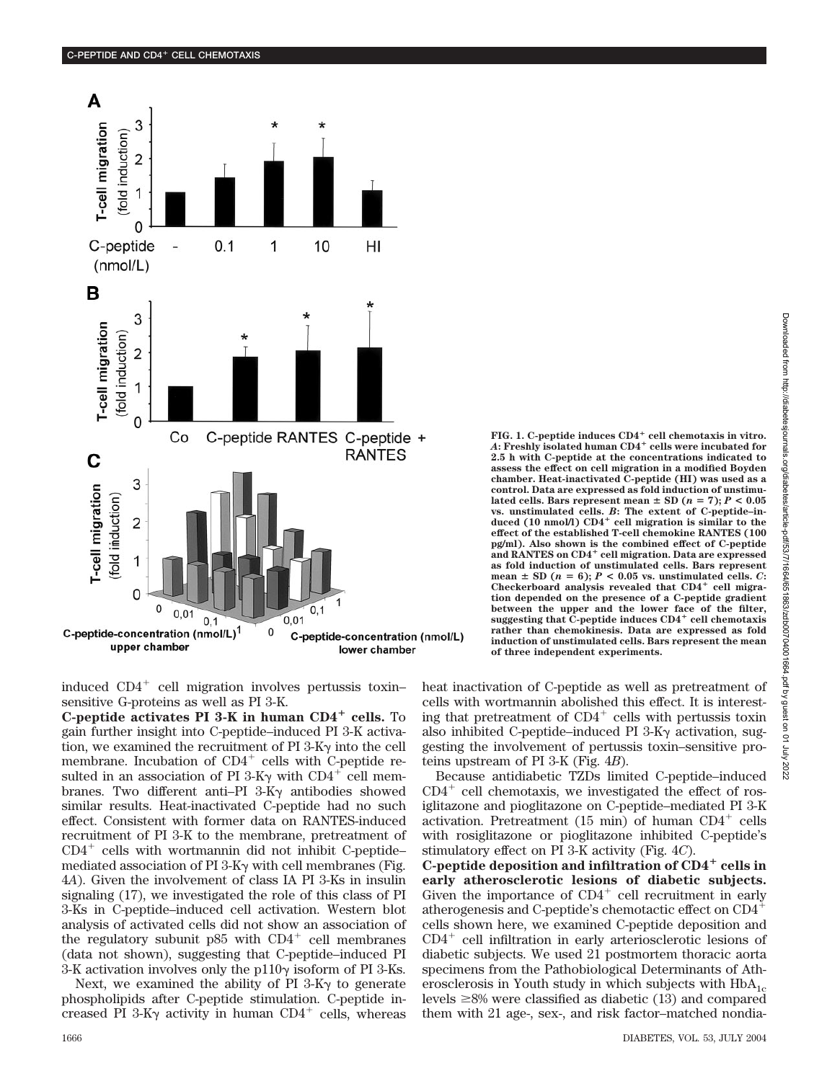

induced  $CD4^+$  cell migration involves pertussis toxin– sensitive G-proteins as well as PI 3-K.

**C-peptide activates PI 3-K in human CD4 cells.** To gain further insight into C-peptide–induced PI 3-K activation, we examined the recruitment of  $PI 3-K<sub>Y</sub>$  into the cell membrane. Incubation of  $CD4^+$  cells with C-peptide resulted in an association of PI 3-K $\gamma$  with CD4<sup>+</sup> cell membranes. Two different anti-PI  $3-K\gamma$  antibodies showed similar results. Heat-inactivated C-peptide had no such effect. Consistent with former data on RANTES-induced recruitment of PI 3-K to the membrane, pretreatment of  $CD4^+$  cells with wortmannin did not inhibit C-peptide– mediated association of PI  $3$ -K $\gamma$  with cell membranes (Fig. 4*A*). Given the involvement of class IA PI 3-Ks in insulin signaling (17), we investigated the role of this class of PI 3-Ks in C-peptide–induced cell activation. Western blot analysis of activated cells did not show an association of the regulatory subunit  $p85$  with  $CD4^+$  cell membranes (data not shown), suggesting that C-peptide–induced PI 3-K activation involves only the  $p110\gamma$  isoform of PI 3-Ks.

Next, we examined the ability of PI  $3-K\gamma$  to generate phospholipids after C-peptide stimulation. C-peptide increased PI 3-K $\gamma$  activity in human CD4<sup>+</sup> cells, whereas **FIG. 1. C-peptide induces CD4 cell chemotaxis in vitro.** *A***: Freshly isolated human CD4 cells were incubated for 2.5 h with C-peptide at the concentrations indicated to assess the effect on cell migration in a modified Boyden chamber. Heat-inactivated C-peptide (HI) was used as a control. Data are expressed as fold induction of unstimu**lated cells. Bars represent mean  $\pm$  SD ( $n = 7$ );  $P < 0.05$ **vs. unstimulated cells.** *B***: The extent of C-peptide–in**duced (10 nmol/l) CD4<sup>+</sup> cell migration is similar to the **effect of the established T-cell chemokine RANTES (100 pg/ml). Also shown is the combined effect of C-peptide and RANTES on CD4 cell migration. Data are expressed as fold induction of unstimulated cells. Bars represent** mean  $\pm$  SD ( $n = 6$ );  $P < 0.05$  vs. unstimulated cells. *C*: Checkerboard analysis revealed that CD4<sup>+</sup> cell migra**tion depended on the presence of a C-peptide gradient between the upper and the lower face of the filter, suggesting that C-peptide induces CD4 cell chemotaxis rather than chemokinesis. Data are expressed as fold induction of unstimulated cells. Bars represent the mean of three independent experiments.**

heat inactivation of C-peptide as well as pretreatment of cells with wortmannin abolished this effect. It is interesting that pretreatment of  $CD4^+$  cells with pertussis toxin also inhibited C-peptide–induced PI  $3-K\gamma$  activation, suggesting the involvement of pertussis toxin–sensitive proteins upstream of PI 3-K (Fig. 4*B*).

Because antidiabetic TZDs limited C-peptide–induced  $CD4^+$  cell chemotaxis, we investigated the effect of rosiglitazone and pioglitazone on C-peptide–mediated PI 3-K activation. Pretreatment (15 min) of human  $CD4^+$  cells with rosiglitazone or pioglitazone inhibited C-peptide's stimulatory effect on PI 3-K activity (Fig. 4*C*).

**C-peptide deposition and infiltration of CD4 cells in early atherosclerotic lesions of diabetic subjects.** Given the importance of  $CD4^+$  cell recruitment in early atherogenesis and C-peptide's chemotactic effect on CD4 cells shown here, we examined C-peptide deposition and  $CD4^+$  cell infiltration in early arteriosclerotic lesions of diabetic subjects. We used 21 postmortem thoracic aorta specimens from the Pathobiological Determinants of Atherosclerosis in Youth study in which subjects with  $HbA_{1c}$ levels  $\geq 8\%$  were classified as diabetic (13) and compared them with 21 age-, sex-, and risk factor–matched nondia-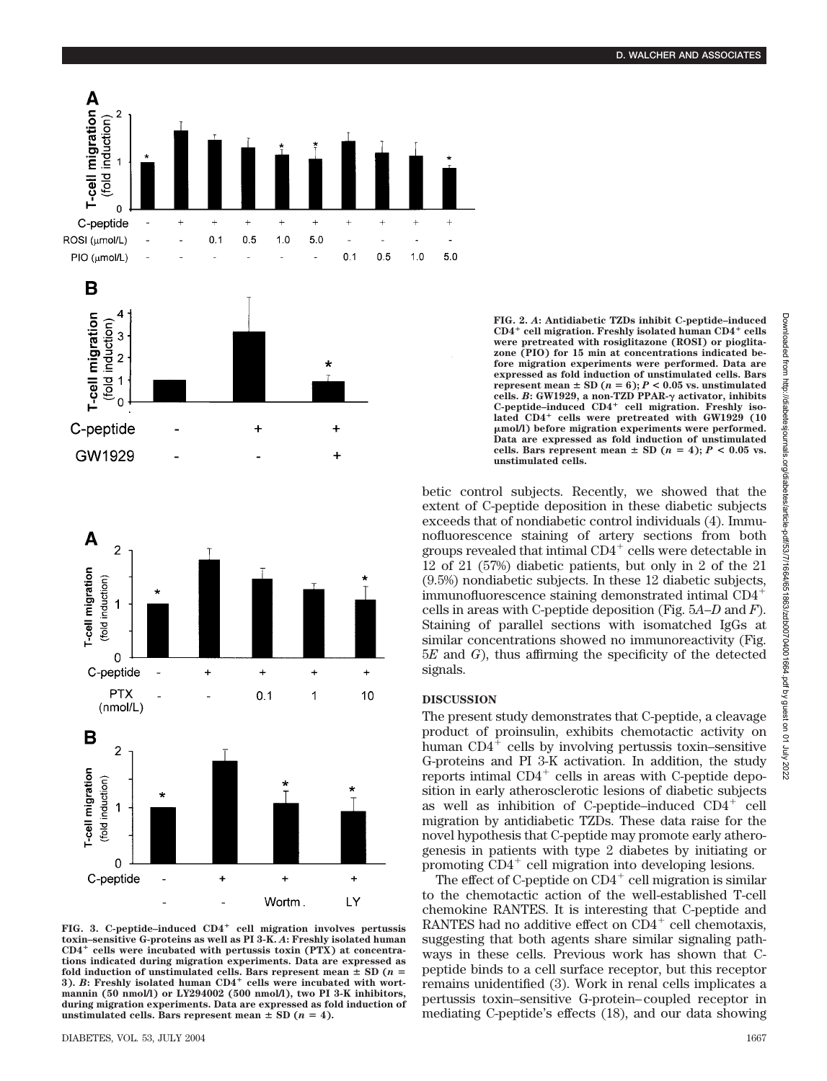





**FIG. 3. C-peptide–induced CD4 cell migration involves pertussis toxin–sensitive G-proteins as well as PI 3-K.** *A***: Freshly isolated human CD4 cells were incubated with pertussis toxin (PTX) at concentrations indicated during migration experiments. Data are expressed as** fold induction of unstimulated cells. Bars represent mean  $\pm$  SD ( $n =$ 3). *B*: Freshly isolated human CD4<sup>+</sup> cells were incubated with wort**mannin (50 nmol/l) or LY294002 (500 nmol/l), two PI 3-K inhibitors, during migration experiments. Data are expressed as fold induction of** unstimulated cells. Bars represent mean  $\pm$  SD ( $n = 4$ ).

**FIG. 2.** *A***: Antidiabetic TZDs inhibit C-peptide–induced CD4 cell migration. Freshly isolated human CD4 cells were pretreated with rosiglitazone (ROSI) or pioglitazone (PIO) for 15 min at concentrations indicated before migration experiments were performed. Data are expressed as fold induction of unstimulated cells. Bars represent** mean  $\pm$  SD ( $n = 6$ );  $P < 0.05$  vs. unstimulated **cells.** *B***: GW1929, a non-TZD PPAR-**- **activator, inhibits** C-peptide-induced  $CD4^+$  cell migration. Freshly iso**lated CD4 cells were pretreated with GW1929 (10 mol/l) before migration experiments were performed. Data are expressed as fold induction of unstimulated cells.** Bars represent mean  $\pm$  SD ( $n = 4$ );  $P < 0.05$  vs. **unstimulated cells.**

betic control subjects. Recently, we showed that the extent of C-peptide deposition in these diabetic subjects exceeds that of nondiabetic control individuals (4). Immunofluorescence staining of artery sections from both groups revealed that intimal  $CD4^+$  cells were detectable in 12 of 21 (57%) diabetic patients, but only in 2 of the 21 (9.5%) nondiabetic subjects. In these 12 diabetic subjects, immunofluorescence staining demonstrated intimal CD4 cells in areas with C-peptide deposition (Fig. 5*A*–*D* and *F*). Staining of parallel sections with isomatched IgGs at similar concentrations showed no immunoreactivity (Fig. 5*E* and *G*), thus affirming the specificity of the detected signals.

## **DISCUSSION**

The present study demonstrates that C-peptide, a cleavage product of proinsulin, exhibits chemotactic activity on human  $CD4^+$  cells by involving pertussis toxin–sensitive G-proteins and PI 3-K activation. In addition, the study reports intimal  $CD4^+$  cells in areas with C-peptide deposition in early atherosclerotic lesions of diabetic subjects as well as inhibition of C-peptide–induced  $CD4^+$  cell migration by antidiabetic TZDs. These data raise for the novel hypothesis that C-peptide may promote early atherogenesis in patients with type 2 diabetes by initiating or promoting  $CD4^+$  cell migration into developing lesions.

The effect of C-peptide on  $CD4^+$  cell migration is similar to the chemotactic action of the well-established T-cell chemokine RANTES. It is interesting that C-peptide and RANTES had no additive effect on  $CD4^+$  cell chemotaxis, suggesting that both agents share similar signaling pathways in these cells. Previous work has shown that Cpeptide binds to a cell surface receptor, but this receptor remains unidentified (3). Work in renal cells implicates a pertussis toxin–sensitive G-protein–coupled receptor in mediating C-peptide's effects (18), and our data showing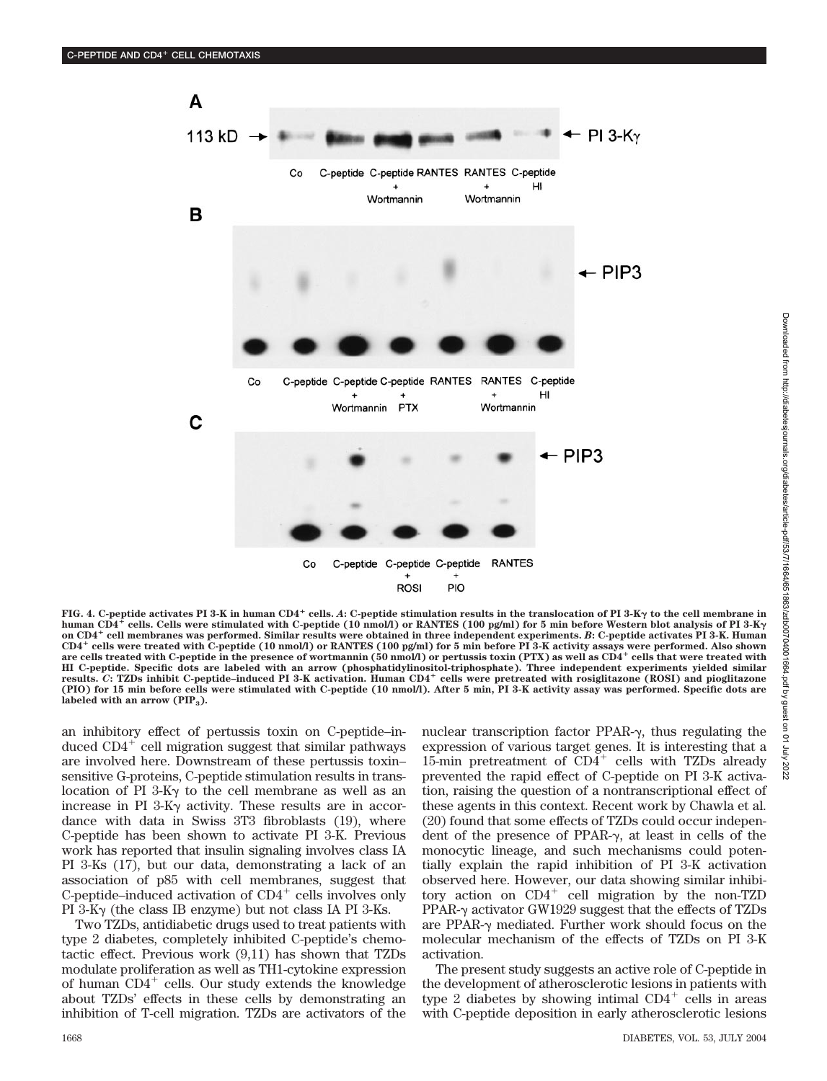

**FIG. 4. C-peptide activates PI 3-K in human CD4 cells.** *A***: C-peptide stimulation results in the translocation of PI 3-K**- **to the cell membrane in human CD4 cells. Cells were stimulated with C-peptide (10 nmol/l) or RANTES (100 pg/ml) for 5 min before Western blot analysis of PI 3-K on CD4 cell membranes was performed. Similar results were obtained in three independent experiments.** *B***: C-peptide activates PI 3-K. Human CD4 cells were treated with C-peptide (10 nmol/l) or RANTES (100 pg/ml) for 5 min before PI 3-K activity assays were performed. Also shown are cells treated with C-peptide in the presence of wortmannin (50 nmol/l) or pertussis toxin (PTX) as well as CD4 cells that were treated with HI C-peptide. Specific dots are labeled with an arrow (phosphatidylinositol-triphosphate). Three independent experiments yielded similar results.** *C***: TZDs inhibit C-peptide–induced PI 3-K activation. Human CD4 cells were pretreated with rosiglitazone (ROSI) and pioglitazone (PIO) for 15 min before cells were stimulated with C-peptide (10 nmol/l). After 5 min, PI 3-K activity assay was performed. Specific dots are** labeled with an arrow (PIP<sub>3</sub>).

an inhibitory effect of pertussis toxin on C-peptide–induced  $CD4^+$  cell migration suggest that similar pathways are involved here. Downstream of these pertussis toxin– sensitive G-proteins, C-peptide stimulation results in translocation of PI 3-K $\gamma$  to the cell membrane as well as an increase in PI  $3-K\gamma$  activity. These results are in accordance with data in Swiss 3T3 fibroblasts (19), where C-peptide has been shown to activate PI 3-K. Previous work has reported that insulin signaling involves class IA PI 3-Ks (17), but our data, demonstrating a lack of an association of p85 with cell membranes, suggest that C-peptide–induced activation of  $CD4^+$  cells involves only PI  $3-Ky$  (the class IB enzyme) but not class IA PI  $3-Ks$ .

Two TZDs, antidiabetic drugs used to treat patients with type 2 diabetes, completely inhibited C-peptide's chemotactic effect. Previous work (9,11) has shown that TZDs modulate proliferation as well as TH1-cytokine expression of human  $CD4^+$  cells. Our study extends the knowledge about TZDs' effects in these cells by demonstrating an inhibition of T-cell migration. TZDs are activators of the nuclear transcription factor PPAR- $\gamma$ , thus regulating the expression of various target genes. It is interesting that a 15-min pretreatment of  $CD4^+$  cells with TZDs already prevented the rapid effect of C-peptide on PI 3-K activation, raising the question of a nontranscriptional effect of these agents in this context. Recent work by Chawla et al. (20) found that some effects of TZDs could occur independent of the presence of PPAR- $\gamma$ , at least in cells of the monocytic lineage, and such mechanisms could potentially explain the rapid inhibition of PI 3-K activation observed here. However, our data showing similar inhibitory action on  $CD4^+$  cell migration by the non-TZD PPAR- $\gamma$  activator GW1929 suggest that the effects of TZDs are PPAR- $\gamma$  mediated. Further work should focus on the molecular mechanism of the effects of TZDs on PI 3-K activation.

The present study suggests an active role of C-peptide in the development of atherosclerotic lesions in patients with type 2 diabetes by showing intimal  $CD4^+$  cells in areas with C-peptide deposition in early atherosclerotic lesions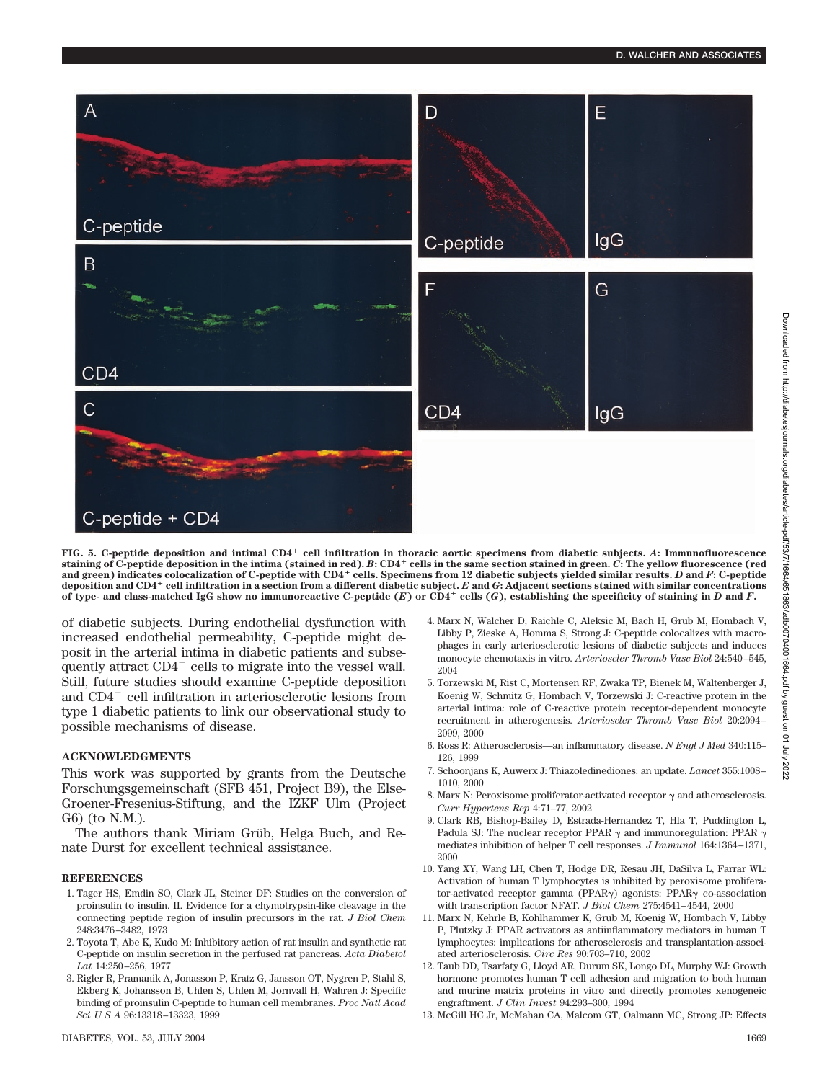

**FIG. 5. C-peptide deposition and intimal CD4 cell infiltration in thoracic aortic specimens from diabetic subjects.** *A***: Immunofluorescence staining of C-peptide deposition in the intima (stained in red).** *B***: CD4 cells in the same section stained in green.** *C***: The yellow fluorescence (red and green) indicates colocalization of C-peptide with CD4 cells. Specimens from 12 diabetic subjects yielded similar results.** *D* **and** *F***: C-peptide deposition and CD4 cell infiltration in a section from a different diabetic subject.** *E* **and** *G***: Adjacent sections stained with similar concentrations** of type- and class-matched IgG show no immunoreactive C-peptide  $(E)$  or CD4<sup>+</sup> cells  $(G)$ , establishing the specificity of staining in *D* and *F*.

of diabetic subjects. During endothelial dysfunction with increased endothelial permeability, C-peptide might deposit in the arterial intima in diabetic patients and subsequently attract  $CD4^+$  cells to migrate into the vessel wall. Still, future studies should examine C-peptide deposition and  $CD4^+$  cell infiltration in arteriosclerotic lesions from type 1 diabetic patients to link our observational study to possible mechanisms of disease.

### **ACKNOWLEDGMENTS**

This work was supported by grants from the Deutsche Forschungsgemeinschaft (SFB 451, Project B9), the Else-Groener-Fresenius-Stiftung, and the IZKF Ulm (Project G6) (to N.M.).

The authors thank Miriam Grüb, Helga Buch, and Renate Durst for excellent technical assistance.

#### **REFERENCES**

- 1. Tager HS, Emdin SO, Clark JL, Steiner DF: Studies on the conversion of proinsulin to insulin. II. Evidence for a chymotrypsin-like cleavage in the connecting peptide region of insulin precursors in the rat. *J Biol Chem* 248:3476–3482, 1973
- 2. Toyota T, Abe K, Kudo M: Inhibitory action of rat insulin and synthetic rat C-peptide on insulin secretion in the perfused rat pancreas. *Acta Diabetol Lat* 14:250–256, 1977
- 3. Rigler R, Pramanik A, Jonasson P, Kratz G, Jansson OT, Nygren P, Stahl S, Ekberg K, Johansson B, Uhlen S, Uhlen M, Jornvall H, Wahren J: Specific binding of proinsulin C-peptide to human cell membranes. *Proc Natl Acad Sci U S A* 96:13318–13323, 1999
- 4. Marx N, Walcher D, Raichle C, Aleksic M, Bach H, Grub M, Hombach V, Libby P, Zieske A, Homma S, Strong J: C-peptide colocalizes with macrophages in early arteriosclerotic lesions of diabetic subjects and induces monocyte chemotaxis in vitro. *Arterioscler Thromb Vasc Biol* 24:540–545, 2004
- 5. Torzewski M, Rist C, Mortensen RF, Zwaka TP, Bienek M, Waltenberger J, Koenig W, Schmitz G, Hombach V, Torzewski J: C-reactive protein in the arterial intima: role of C-reactive protein receptor-dependent monocyte recruitment in atherogenesis. *Arterioscler Thromb Vasc Biol* 20:2094– 2099, 2000
- 6. Ross R: Atherosclerosis—an inflammatory disease. *N Engl J Med* 340:115– 126, 1999
- 7. Schoonjans K, Auwerx J: Thiazoledinediones: an update. *Lancet* 355:1008– 1010, 2000
- 8. Marx N: Peroxisome proliferator-activated receptor  $\gamma$  and atherosclerosis. *Curr Hypertens Rep* 4:71–77, 2002
- 9. Clark RB, Bishop-Bailey D, Estrada-Hernandez T, Hla T, Puddington L, Padula SJ: The nuclear receptor PPAR  $\gamma$  and immunoregulation: PPAR  $\gamma$ mediates inhibition of helper T cell responses. *J Immunol* 164:1364–1371, 2000
- 10. Yang XY, Wang LH, Chen T, Hodge DR, Resau JH, DaSilva L, Farrar WL: Activation of human T lymphocytes is inhibited by peroxisome proliferator-activated receptor gamma (PPAR $\gamma$ ) agonists: PPAR $\gamma$  co-association with transcription factor NFAT. *J Biol Chem* 275:4541–4544, 2000
- 11. Marx N, Kehrle B, Kohlhammer K, Grub M, Koenig W, Hombach V, Libby P, Plutzky J: PPAR activators as antiinflammatory mediators in human T lymphocytes: implications for atherosclerosis and transplantation-associated arteriosclerosis. *Circ Res* 90:703–710, 2002
- 12. Taub DD, Tsarfaty G, Lloyd AR, Durum SK, Longo DL, Murphy WJ: Growth hormone promotes human T cell adhesion and migration to both human and murine matrix proteins in vitro and directly promotes xenogeneic engraftment. *J Clin Invest* 94:293–300, 1994
- 13. McGill HC Jr, McMahan CA, Malcom GT, Oalmann MC, Strong JP: Effects